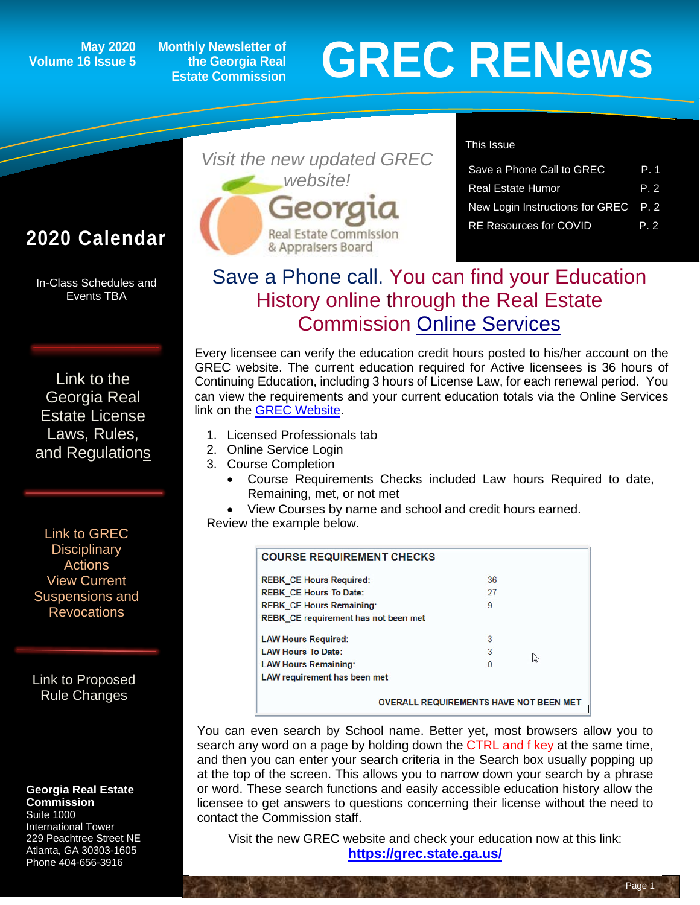# **Volume 16 Issue 5**

**Monthly Newsletter of the Georgia Real Estate Commission**

# May 2020 Monthly Newsletter of<br> **GREC RENEWS**<br>
Estate Commission

## **2020 Calendar**

In-Class Schedules and Events TBA

[Link to the](https://grec.state.ga.us/information-research/license-law/)  [Georgia Real](https://grec.state.ga.us/information-research/license-law/)  [Estate License](https://grec.state.ga.us/information-research/license-law/)  [Laws, Rules,](https://grec.state.ga.us/information-research/license-law/)  [and Regulations](https://grec.state.ga.us/information-research/license-law/)

[Link to GREC](http://www.grec.state.ga.us/about/resanctions.html)  **Disciplinary** [Actions](http://www.grec.state.ga.us/about/resanctions.html) View Current [Suspensions and](https://grec.state.ga.us/information-research/disciplinary-actions/real-estate/)  **Revocations** 

[Link to Proposed](https://grec.state.ga.us/information-research/legislation/real-estate/)  [Rule Changes](https://grec.state.ga.us/information-research/legislation/real-estate/)

#### **Georgia Real Estate Commission**

Suite 1000 International Tower 229 Peachtree Street NE Atlanta, GA 30303-1605 Phone 404-656-3916



#### This Issue

| Save a Phone Call to GREC            | P 1  |
|--------------------------------------|------|
| <b>Real Estate Humor</b>             | P. 2 |
| New Login Instructions for GREC P. 2 |      |
| <b>RE Resources for COVID</b>        | P 2  |

Page<sup>1</sup>

## Save a Phone call. You can find your Education History online through the Real Estate Commission [Online Services](https://grec.state.ga.us/)

Every licensee can verify the education credit hours posted to his/her account on the GREC website. The current education required for Active licensees is 36 hours of Continuing Education, including 3 hours of License Law, for each renewal period. You can view the requirements and your current education totals via the Online Services link on the [GREC Website.](https://grec.state.ga.us/)

- 1. Licensed Professionals tab
- 2. Online Service Login
- 3. Course Completion
	- Course Requirements Checks included Law hours Required to date, Remaining, met, or not met
- View Courses by name and school and credit hours earned.
- Review the example below.

| <b>REBK CE Hours Required:</b>              | 36             |  |
|---------------------------------------------|----------------|--|
| <b>REBK CE Hours To Date:</b>               | 27             |  |
| <b>REBK CE Hours Remaining:</b>             | 9              |  |
| <b>REBK CE requirement has not been met</b> |                |  |
| <b>LAW Hours Required:</b>                  | 3              |  |
| <b>LAW Hours To Date:</b>                   | 3              |  |
| <b>LAW Hours Remaining:</b>                 | ЬŚ<br>$\Omega$ |  |
| <b>LAW requirement has been met</b>         |                |  |

You can even search by School name. Better yet, most browsers allow you to search any word on a page by holding down the CTRL and f key at the same time, and then you can enter your search criteria in the Search box usually popping up at the top of the screen. This allows you to narrow down your search by a phrase or word. These search functions and easily accessible education history allow the licensee to get answers to questions concerning their license without the need to contact the Commission staff.

Visit the new GREC website and check your education now at this link: **<https://grec.state.ga.us/>**